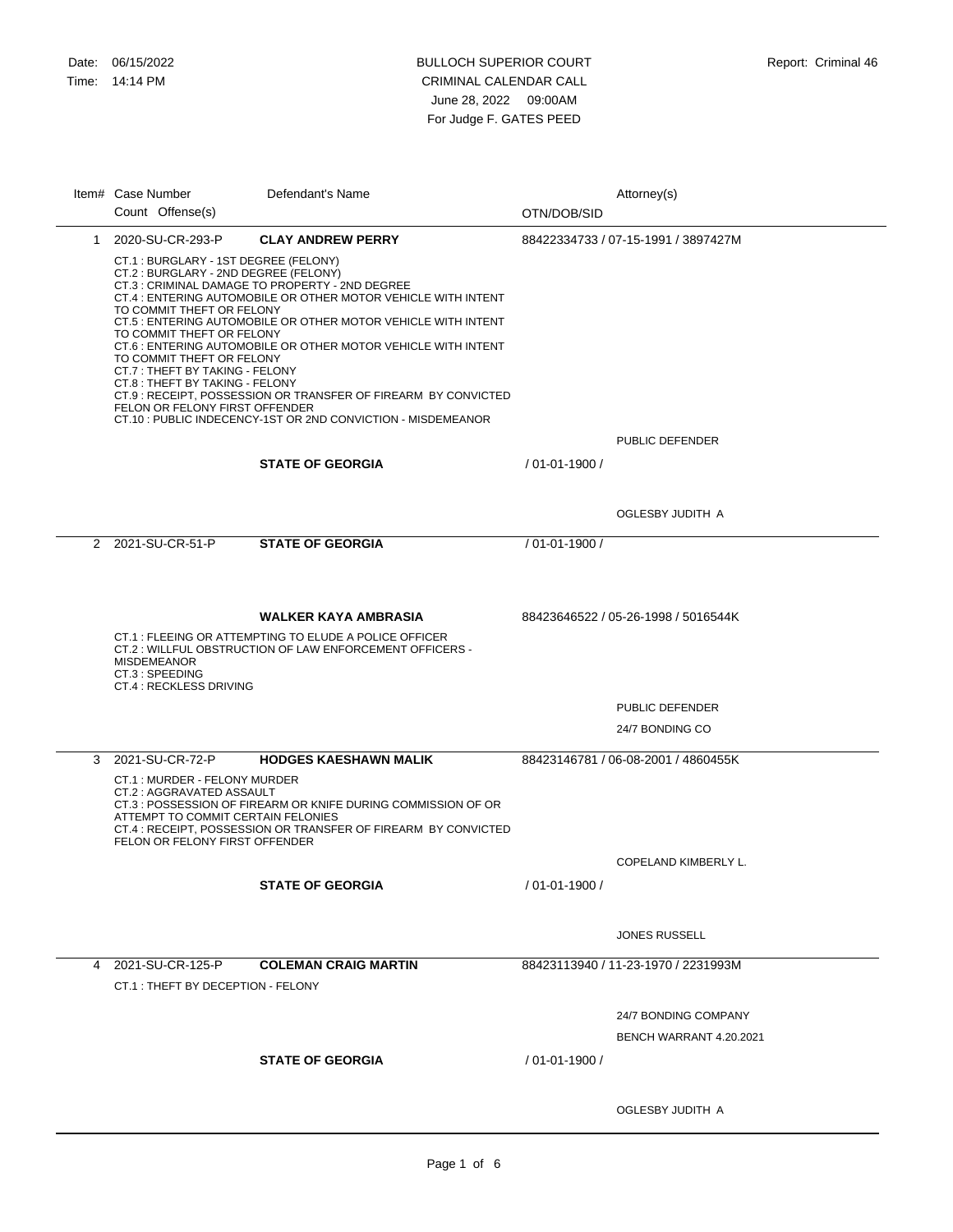|             | Item# Case Number<br>Count Offense(s)                                                                                                                                                                                                                                        | Defendant's Name                                                                                                                                                                                                                                                                                                                                                                    | OTN/DOB/SID    | Attorney(s)                         |
|-------------|------------------------------------------------------------------------------------------------------------------------------------------------------------------------------------------------------------------------------------------------------------------------------|-------------------------------------------------------------------------------------------------------------------------------------------------------------------------------------------------------------------------------------------------------------------------------------------------------------------------------------------------------------------------------------|----------------|-------------------------------------|
| $\mathbf 1$ | 2020-SU-CR-293-P                                                                                                                                                                                                                                                             | <b>CLAY ANDREW PERRY</b>                                                                                                                                                                                                                                                                                                                                                            |                | 88422334733 / 07-15-1991 / 3897427M |
|             | CT.1 : BURGLARY - 1ST DEGREE (FELONY)<br>CT.2 : BURGLARY - 2ND DEGREE (FELONY)<br>TO COMMIT THEFT OR FELONY<br>TO COMMIT THEFT OR FELONY<br>TO COMMIT THEFT OR FELONY<br>CT.7: THEFT BY TAKING - FELONY<br>CT.8 : THEFT BY TAKING - FELONY<br>FELON OR FELONY FIRST OFFENDER | CT.3 : CRIMINAL DAMAGE TO PROPERTY - 2ND DEGREE<br>CT.4 : ENTERING AUTOMOBILE OR OTHER MOTOR VEHICLE WITH INTENT<br>CT.5 : ENTERING AUTOMOBILE OR OTHER MOTOR VEHICLE WITH INTENT<br>CT.6 : ENTERING AUTOMOBILE OR OTHER MOTOR VEHICLE WITH INTENT<br>CT.9: RECEIPT, POSSESSION OR TRANSFER OF FIREARM BY CONVICTED<br>CT.10 : PUBLIC INDECENCY-1ST OR 2ND CONVICTION - MISDEMEANOR |                | PUBLIC DEFENDER                     |
|             |                                                                                                                                                                                                                                                                              | <b>STATE OF GEORGIA</b>                                                                                                                                                                                                                                                                                                                                                             | / 01-01-1900 / |                                     |
|             |                                                                                                                                                                                                                                                                              |                                                                                                                                                                                                                                                                                                                                                                                     |                |                                     |
|             |                                                                                                                                                                                                                                                                              |                                                                                                                                                                                                                                                                                                                                                                                     |                | OGLESBY JUDITH A                    |
|             | 2 2021-SU-CR-51-P                                                                                                                                                                                                                                                            | <b>STATE OF GEORGIA</b>                                                                                                                                                                                                                                                                                                                                                             | / 01-01-1900 / |                                     |
|             | <b>MISDEMEANOR</b><br>CT.3: SPEEDING<br>CT.4 : RECKLESS DRIVING                                                                                                                                                                                                              | <b>WALKER KAYA AMBRASIA</b><br>CT.1 : FLEEING OR ATTEMPTING TO ELUDE A POLICE OFFICER<br>CT.2: WILLFUL OBSTRUCTION OF LAW ENFORCEMENT OFFICERS -                                                                                                                                                                                                                                    |                | 88423646522 / 05-26-1998 / 5016544K |
|             |                                                                                                                                                                                                                                                                              |                                                                                                                                                                                                                                                                                                                                                                                     |                | PUBLIC DEFENDER                     |
|             |                                                                                                                                                                                                                                                                              |                                                                                                                                                                                                                                                                                                                                                                                     |                | 24/7 BONDING CO                     |
| 3           | 2021-SU-CR-72-P                                                                                                                                                                                                                                                              | <b>HODGES KAESHAWN MALIK</b>                                                                                                                                                                                                                                                                                                                                                        |                | 88423146781 / 06-08-2001 / 4860455K |
|             | CT.1: MURDER - FELONY MURDER<br>CT.2 : AGGRAVATED ASSAULT<br>ATTEMPT TO COMMIT CERTAIN FELONIES<br>FELON OR FELONY FIRST OFFENDER                                                                                                                                            | CT.3 : POSSESSION OF FIREARM OR KNIFE DURING COMMISSION OF OR<br>CT.4 : RECEIPT, POSSESSION OR TRANSFER OF FIREARM BY CONVICTED                                                                                                                                                                                                                                                     |                |                                     |
|             |                                                                                                                                                                                                                                                                              |                                                                                                                                                                                                                                                                                                                                                                                     |                | COPELAND KIMBERLY L.                |
|             |                                                                                                                                                                                                                                                                              | <b>STATE OF GEORGIA</b>                                                                                                                                                                                                                                                                                                                                                             | / 01-01-1900 / |                                     |
|             |                                                                                                                                                                                                                                                                              |                                                                                                                                                                                                                                                                                                                                                                                     |                |                                     |
|             |                                                                                                                                                                                                                                                                              |                                                                                                                                                                                                                                                                                                                                                                                     |                | <b>JONES RUSSELL</b>                |
| 4           | 2021-SU-CR-125-P                                                                                                                                                                                                                                                             | <b>COLEMAN CRAIG MARTIN</b>                                                                                                                                                                                                                                                                                                                                                         |                | 88423113940 / 11-23-1970 / 2231993M |
|             | CT.1 : THEFT BY DECEPTION - FELONY                                                                                                                                                                                                                                           |                                                                                                                                                                                                                                                                                                                                                                                     |                |                                     |
|             |                                                                                                                                                                                                                                                                              |                                                                                                                                                                                                                                                                                                                                                                                     |                | 24/7 BONDING COMPANY                |
|             |                                                                                                                                                                                                                                                                              |                                                                                                                                                                                                                                                                                                                                                                                     |                | BENCH WARRANT 4.20.2021             |
|             |                                                                                                                                                                                                                                                                              | <b>STATE OF GEORGIA</b>                                                                                                                                                                                                                                                                                                                                                             | / 01-01-1900 / |                                     |
|             |                                                                                                                                                                                                                                                                              |                                                                                                                                                                                                                                                                                                                                                                                     |                | OGLESBY JUDITH A                    |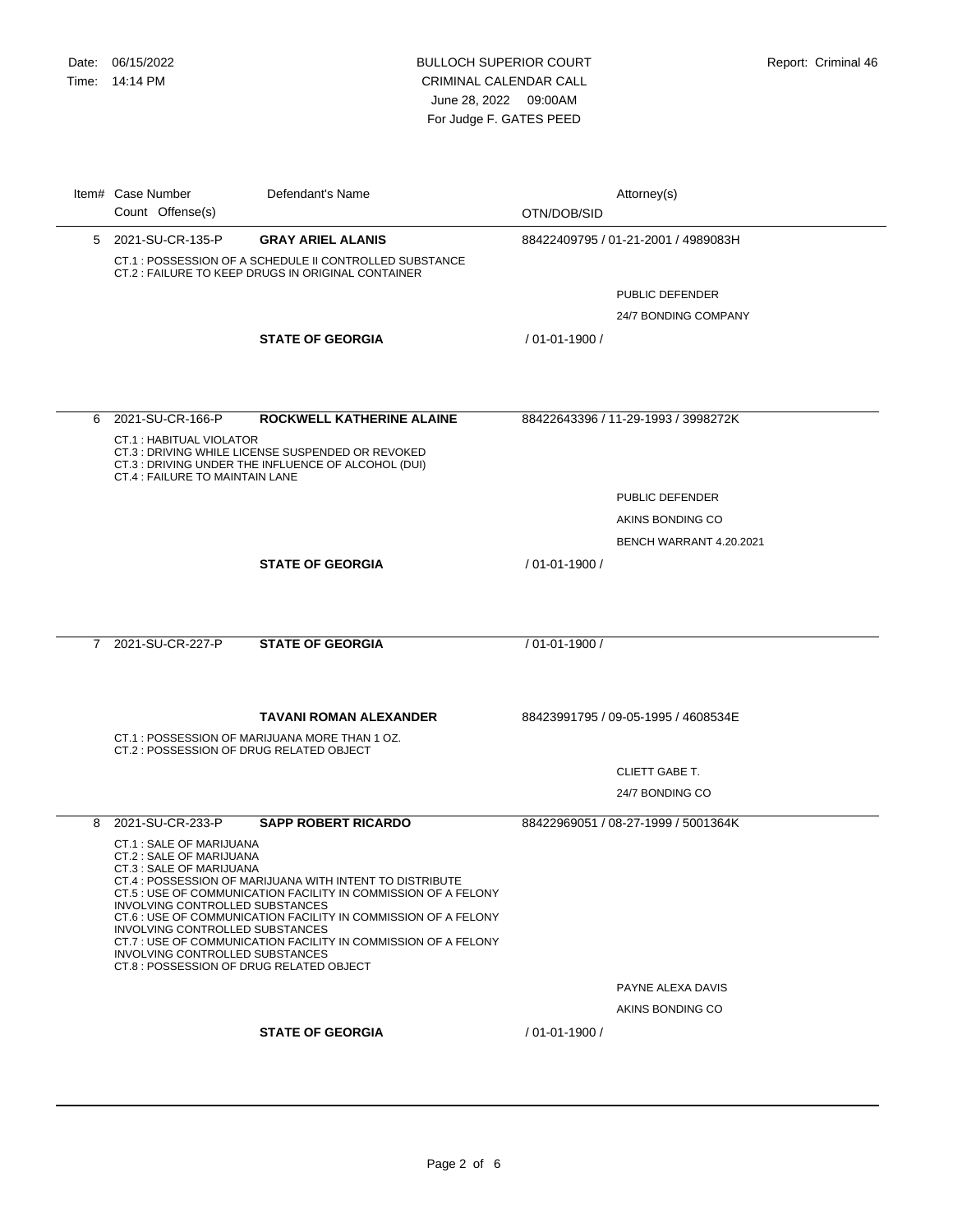|                                                                                                                                                                                                                                                                                                                                                                                                                                                                                                        | Item# Case Number<br>Count Offense(s)                       | Defendant's Name                                                                                                                         | OTN/DOB/SID                         | Attorney(s)                         |
|--------------------------------------------------------------------------------------------------------------------------------------------------------------------------------------------------------------------------------------------------------------------------------------------------------------------------------------------------------------------------------------------------------------------------------------------------------------------------------------------------------|-------------------------------------------------------------|------------------------------------------------------------------------------------------------------------------------------------------|-------------------------------------|-------------------------------------|
|                                                                                                                                                                                                                                                                                                                                                                                                                                                                                                        | 5 2021-SU-CR-135-P                                          | <b>GRAY ARIEL ALANIS</b><br>CT.1 : POSSESSION OF A SCHEDULE II CONTROLLED SUBSTANCE<br>CT.2: FAILURE TO KEEP DRUGS IN ORIGINAL CONTAINER | 88422409795 / 01-21-2001 / 4989083H |                                     |
|                                                                                                                                                                                                                                                                                                                                                                                                                                                                                                        |                                                             |                                                                                                                                          |                                     | PUBLIC DEFENDER                     |
|                                                                                                                                                                                                                                                                                                                                                                                                                                                                                                        |                                                             |                                                                                                                                          |                                     | 24/7 BONDING COMPANY                |
|                                                                                                                                                                                                                                                                                                                                                                                                                                                                                                        |                                                             | <b>STATE OF GEORGIA</b>                                                                                                                  | / 01-01-1900 /                      |                                     |
|                                                                                                                                                                                                                                                                                                                                                                                                                                                                                                        |                                                             |                                                                                                                                          |                                     |                                     |
|                                                                                                                                                                                                                                                                                                                                                                                                                                                                                                        |                                                             |                                                                                                                                          |                                     |                                     |
| 6                                                                                                                                                                                                                                                                                                                                                                                                                                                                                                      | 2021-SU-CR-166-P                                            | <b>ROCKWELL KATHERINE ALAINE</b>                                                                                                         |                                     | 88422643396 / 11-29-1993 / 3998272K |
|                                                                                                                                                                                                                                                                                                                                                                                                                                                                                                        | CT.1 : HABITUAL VIOLATOR<br>CT.4 : FAILURE TO MAINTAIN LANE | CT.3 : DRIVING WHILE LICENSE SUSPENDED OR REVOKED<br>CT.3 : DRIVING UNDER THE INFLUENCE OF ALCOHOL (DUI)                                 |                                     |                                     |
|                                                                                                                                                                                                                                                                                                                                                                                                                                                                                                        |                                                             |                                                                                                                                          |                                     | PUBLIC DEFENDER                     |
|                                                                                                                                                                                                                                                                                                                                                                                                                                                                                                        |                                                             |                                                                                                                                          |                                     | AKINS BONDING CO                    |
|                                                                                                                                                                                                                                                                                                                                                                                                                                                                                                        |                                                             |                                                                                                                                          |                                     | BENCH WARRANT 4.20.2021             |
|                                                                                                                                                                                                                                                                                                                                                                                                                                                                                                        |                                                             | <b>STATE OF GEORGIA</b>                                                                                                                  | / 01-01-1900 /                      |                                     |
|                                                                                                                                                                                                                                                                                                                                                                                                                                                                                                        |                                                             |                                                                                                                                          |                                     |                                     |
| 7                                                                                                                                                                                                                                                                                                                                                                                                                                                                                                      | 2021-SU-CR-227-P                                            | <b>STATE OF GEORGIA</b>                                                                                                                  | / 01-01-1900 /                      |                                     |
|                                                                                                                                                                                                                                                                                                                                                                                                                                                                                                        |                                                             |                                                                                                                                          |                                     |                                     |
|                                                                                                                                                                                                                                                                                                                                                                                                                                                                                                        |                                                             |                                                                                                                                          |                                     |                                     |
|                                                                                                                                                                                                                                                                                                                                                                                                                                                                                                        |                                                             | <b>TAVANI ROMAN ALEXANDER</b>                                                                                                            |                                     | 88423991795 / 09-05-1995 / 4608534E |
|                                                                                                                                                                                                                                                                                                                                                                                                                                                                                                        | CT.2 : POSSESSION OF DRUG RELATED OBJECT                    | CT.1: POSSESSION OF MARIJUANA MORE THAN 1 OZ.                                                                                            |                                     |                                     |
|                                                                                                                                                                                                                                                                                                                                                                                                                                                                                                        |                                                             |                                                                                                                                          |                                     | <b>CLIETT GABE T.</b>               |
|                                                                                                                                                                                                                                                                                                                                                                                                                                                                                                        |                                                             |                                                                                                                                          |                                     | 24/7 BONDING CO                     |
| 8                                                                                                                                                                                                                                                                                                                                                                                                                                                                                                      | 2021-SU-CR-233-P                                            | <b>SAPP ROBERT RICARDO</b>                                                                                                               |                                     | 88422969051 / 08-27-1999 / 5001364K |
| CT.1: SALE OF MARIJUANA<br>CT.2 : SALE OF MARIJUANA<br>CT.3 : SALE OF MARIJUANA<br>CT.4 : POSSESSION OF MARIJUANA WITH INTENT TO DISTRIBUTE<br>CT.5 : USE OF COMMUNICATION FACILITY IN COMMISSION OF A FELONY<br>INVOLVING CONTROLLED SUBSTANCES<br>CT.6 : USE OF COMMUNICATION FACILITY IN COMMISSION OF A FELONY<br>INVOLVING CONTROLLED SUBSTANCES<br>CT.7 : USE OF COMMUNICATION FACILITY IN COMMISSION OF A FELONY<br>INVOLVING CONTROLLED SUBSTANCES<br>CT.8 : POSSESSION OF DRUG RELATED OBJECT |                                                             |                                                                                                                                          |                                     |                                     |
|                                                                                                                                                                                                                                                                                                                                                                                                                                                                                                        |                                                             |                                                                                                                                          |                                     | PAYNE ALEXA DAVIS                   |
|                                                                                                                                                                                                                                                                                                                                                                                                                                                                                                        |                                                             |                                                                                                                                          |                                     | AKINS BONDING CO                    |
|                                                                                                                                                                                                                                                                                                                                                                                                                                                                                                        |                                                             | <b>STATE OF GEORGIA</b>                                                                                                                  | / 01-01-1900 /                      |                                     |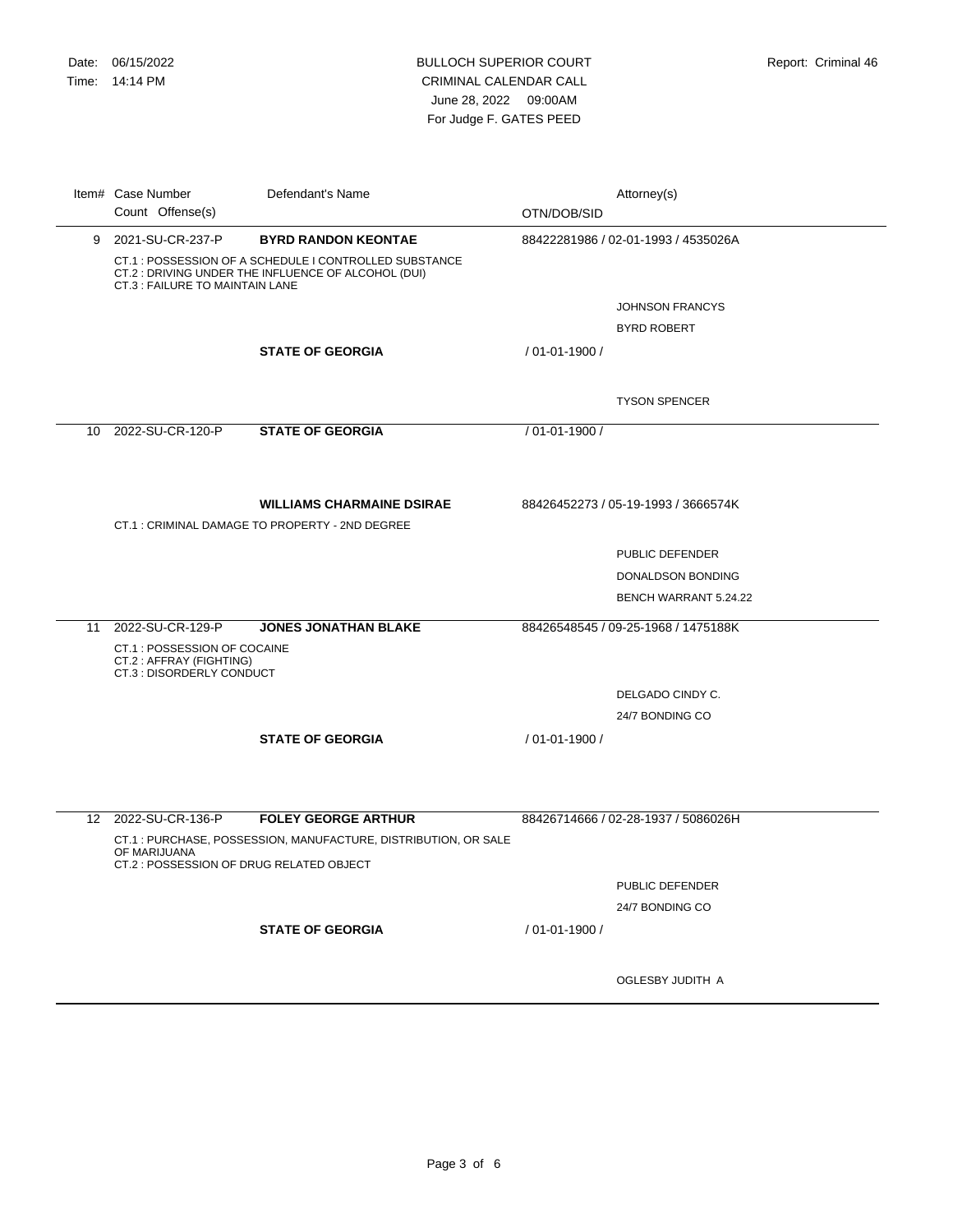|                                 | Item# Case Number<br>Count Offense(s)                | Defendant's Name                                                                                              | OTN/DOB/SID                         | Attorney(s)                         |
|---------------------------------|------------------------------------------------------|---------------------------------------------------------------------------------------------------------------|-------------------------------------|-------------------------------------|
|                                 | 9 2021-SU-CR-237-P                                   | <b>BYRD RANDON KEONTAE</b>                                                                                    | 88422281986 / 02-01-1993 / 4535026A |                                     |
| CT.3 : FAILURE TO MAINTAIN LANE |                                                      | CT.1 : POSSESSION OF A SCHEDULE I CONTROLLED SUBSTANCE<br>CT.2 : DRIVING UNDER THE INFLUENCE OF ALCOHOL (DUI) |                                     |                                     |
|                                 |                                                      |                                                                                                               |                                     | <b>JOHNSON FRANCYS</b>              |
|                                 |                                                      |                                                                                                               |                                     | <b>BYRD ROBERT</b>                  |
|                                 |                                                      | <b>STATE OF GEORGIA</b>                                                                                       | / 01-01-1900 /                      |                                     |
|                                 |                                                      |                                                                                                               |                                     |                                     |
|                                 |                                                      |                                                                                                               |                                     | <b>TYSON SPENCER</b>                |
| 10                              | 2022-SU-CR-120-P                                     | <b>STATE OF GEORGIA</b>                                                                                       | / 01-01-1900 /                      |                                     |
|                                 |                                                      |                                                                                                               |                                     |                                     |
|                                 |                                                      |                                                                                                               |                                     |                                     |
|                                 |                                                      | <b>WILLIAMS CHARMAINE DSIRAE</b>                                                                              |                                     | 88426452273 / 05-19-1993 / 3666574K |
|                                 |                                                      | CT.1: CRIMINAL DAMAGE TO PROPERTY - 2ND DEGREE                                                                |                                     |                                     |
|                                 |                                                      |                                                                                                               |                                     | PUBLIC DEFENDER                     |
|                                 |                                                      |                                                                                                               |                                     | DONALDSON BONDING                   |
|                                 |                                                      |                                                                                                               |                                     | BENCH WARRANT 5.24.22               |
| 11                              | 2022-SU-CR-129-P                                     | <b>JONES JONATHAN BLAKE</b>                                                                                   |                                     | 88426548545 / 09-25-1968 / 1475188K |
|                                 | CT.1 : POSSESSION OF COCAINE                         |                                                                                                               |                                     |                                     |
|                                 | CT.2: AFFRAY (FIGHTING)<br>CT.3 : DISORDERLY CONDUCT |                                                                                                               |                                     |                                     |
|                                 |                                                      |                                                                                                               |                                     | DELGADO CINDY C.                    |
|                                 |                                                      |                                                                                                               |                                     | 24/7 BONDING CO                     |
|                                 |                                                      | <b>STATE OF GEORGIA</b>                                                                                       | / 01-01-1900 /                      |                                     |
|                                 |                                                      |                                                                                                               |                                     |                                     |
|                                 |                                                      |                                                                                                               |                                     |                                     |
|                                 | 12 2022-SU-CR-136-P                                  | <b>FOLEY GEORGE ARTHUR</b>                                                                                    |                                     | 88426714666 / 02-28-1937 / 5086026H |
|                                 | OF MARIJUANA                                         | CT.1 : PURCHASE, POSSESSION, MANUFACTURE, DISTRIBUTION, OR SALE                                               |                                     |                                     |
|                                 | CT.2: POSSESSION OF DRUG RELATED OBJECT              |                                                                                                               |                                     |                                     |
|                                 |                                                      |                                                                                                               |                                     | PUBLIC DEFENDER                     |
|                                 |                                                      |                                                                                                               |                                     | 24/7 BONDING CO                     |
|                                 |                                                      | <b>STATE OF GEORGIA</b>                                                                                       | / 01-01-1900 /                      |                                     |
|                                 |                                                      |                                                                                                               |                                     |                                     |
|                                 |                                                      |                                                                                                               |                                     | OGLESBY JUDITH A                    |
|                                 |                                                      |                                                                                                               |                                     |                                     |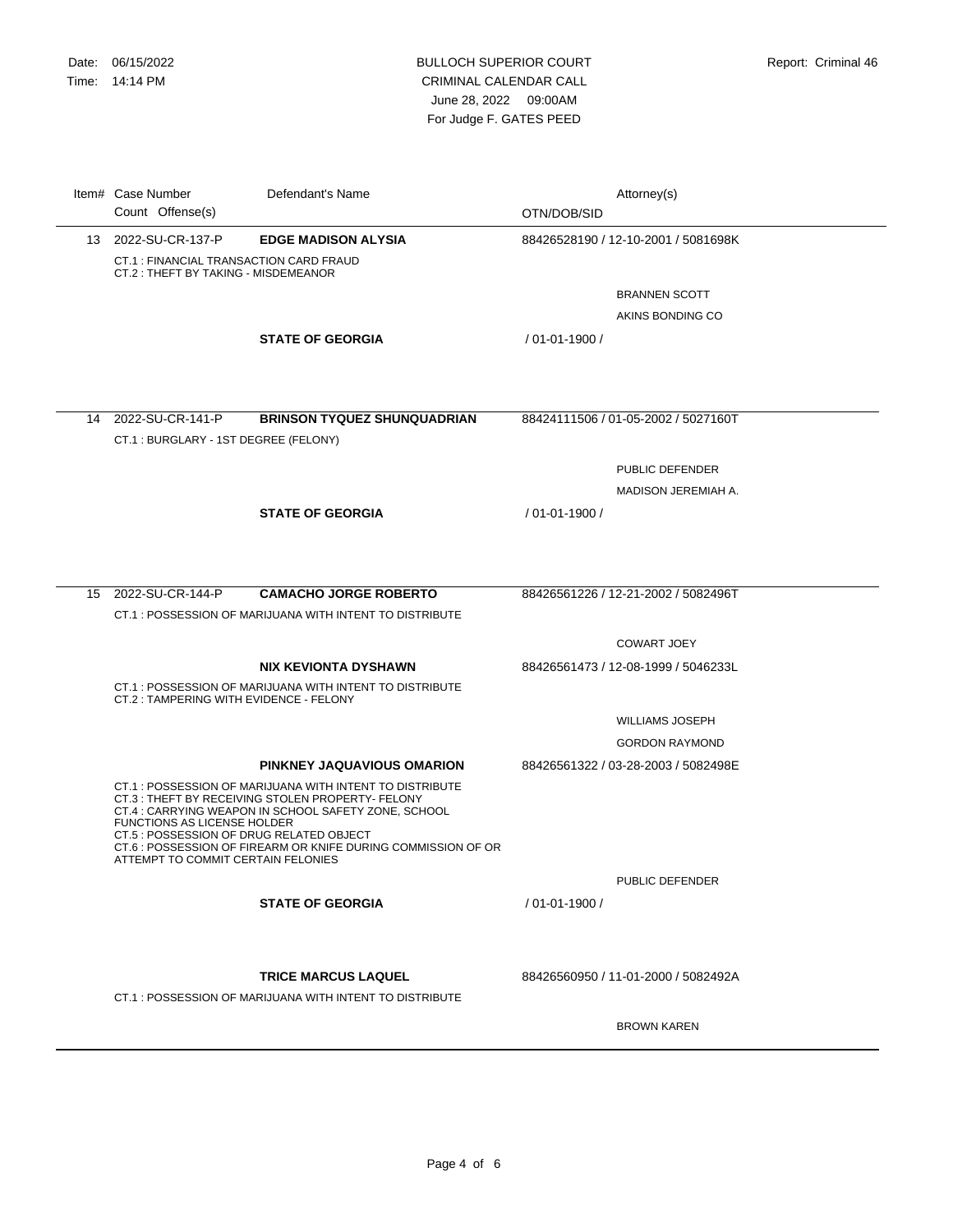|    | Item# Case Number<br>Count Offense(s)                                                                                | Defendant's Name                                                                                                                                                                                                                     | Attorney(s)<br>OTN/DOB/SID          |  |
|----|----------------------------------------------------------------------------------------------------------------------|--------------------------------------------------------------------------------------------------------------------------------------------------------------------------------------------------------------------------------------|-------------------------------------|--|
|    | 13 2022-SU-CR-137-P<br>CT.1: FINANCIAL TRANSACTION CARD FRAUD<br>CT.2: THEFT BY TAKING - MISDEMEANOR                 | <b>EDGE MADISON ALYSIA</b>                                                                                                                                                                                                           | 88426528190 / 12-10-2001 / 5081698K |  |
|    |                                                                                                                      |                                                                                                                                                                                                                                      | <b>BRANNEN SCOTT</b>                |  |
|    |                                                                                                                      |                                                                                                                                                                                                                                      | AKINS BONDING CO                    |  |
|    |                                                                                                                      | <b>STATE OF GEORGIA</b>                                                                                                                                                                                                              | / 01-01-1900 /                      |  |
|    |                                                                                                                      |                                                                                                                                                                                                                                      |                                     |  |
|    | CT.1 : BURGLARY - 1ST DEGREE (FELONY)                                                                                | <b>BRINSON TYQUEZ SHUNQUADRIAN</b>                                                                                                                                                                                                   | 88424111506 / 01-05-2002 / 5027160T |  |
|    |                                                                                                                      |                                                                                                                                                                                                                                      | PUBLIC DEFENDER                     |  |
|    |                                                                                                                      |                                                                                                                                                                                                                                      | MADISON JEREMIAH A.                 |  |
|    |                                                                                                                      | <b>STATE OF GEORGIA</b>                                                                                                                                                                                                              | / 01-01-1900 /                      |  |
|    |                                                                                                                      |                                                                                                                                                                                                                                      |                                     |  |
| 15 | 2022-SU-CR-144-P                                                                                                     | <b>CAMACHO JORGE ROBERTO</b>                                                                                                                                                                                                         | 88426561226 / 12-21-2002 / 5082496T |  |
|    |                                                                                                                      | CT.1: POSSESSION OF MARIJUANA WITH INTENT TO DISTRIBUTE                                                                                                                                                                              |                                     |  |
|    |                                                                                                                      |                                                                                                                                                                                                                                      | <b>COWART JOEY</b>                  |  |
|    |                                                                                                                      | NIX KEVIONTA DYSHAWN                                                                                                                                                                                                                 | 88426561473 / 12-08-1999 / 5046233L |  |
|    | CT.2 : TAMPERING WITH EVIDENCE - FELONY                                                                              | CT.1: POSSESSION OF MARIJUANA WITH INTENT TO DISTRIBUTE                                                                                                                                                                              |                                     |  |
|    |                                                                                                                      |                                                                                                                                                                                                                                      | <b>WILLIAMS JOSEPH</b>              |  |
|    |                                                                                                                      |                                                                                                                                                                                                                                      | <b>GORDON RAYMOND</b>               |  |
|    |                                                                                                                      | PINKNEY JAQUAVIOUS OMARION                                                                                                                                                                                                           | 88426561322 / 03-28-2003 / 5082498E |  |
|    | <b>FUNCTIONS AS LICENSE HOLDER</b><br>CT.5 : POSSESSION OF DRUG RELATED OBJECT<br>ATTEMPT TO COMMIT CERTAIN FELONIES | CT.1: POSSESSION OF MARIJUANA WITH INTENT TO DISTRIBUTE<br>CT.3: THEFT BY RECEIVING STOLEN PROPERTY- FELONY<br>CT.4 : CARRYING WEAPON IN SCHOOL SAFETY ZONE, SCHOOL<br>CT.6 : POSSESSION OF FIREARM OR KNIFE DURING COMMISSION OF OR |                                     |  |
|    |                                                                                                                      |                                                                                                                                                                                                                                      | PUBLIC DEFENDER                     |  |
|    |                                                                                                                      | <b>STATE OF GEORGIA</b>                                                                                                                                                                                                              | / 01-01-1900 /                      |  |
|    |                                                                                                                      | <b>TRICE MARCUS LAQUEL</b><br>CT.1: POSSESSION OF MARIJUANA WITH INTENT TO DISTRIBUTE                                                                                                                                                | 88426560950 / 11-01-2000 / 5082492A |  |
|    |                                                                                                                      |                                                                                                                                                                                                                                      | <b>BROWN KAREN</b>                  |  |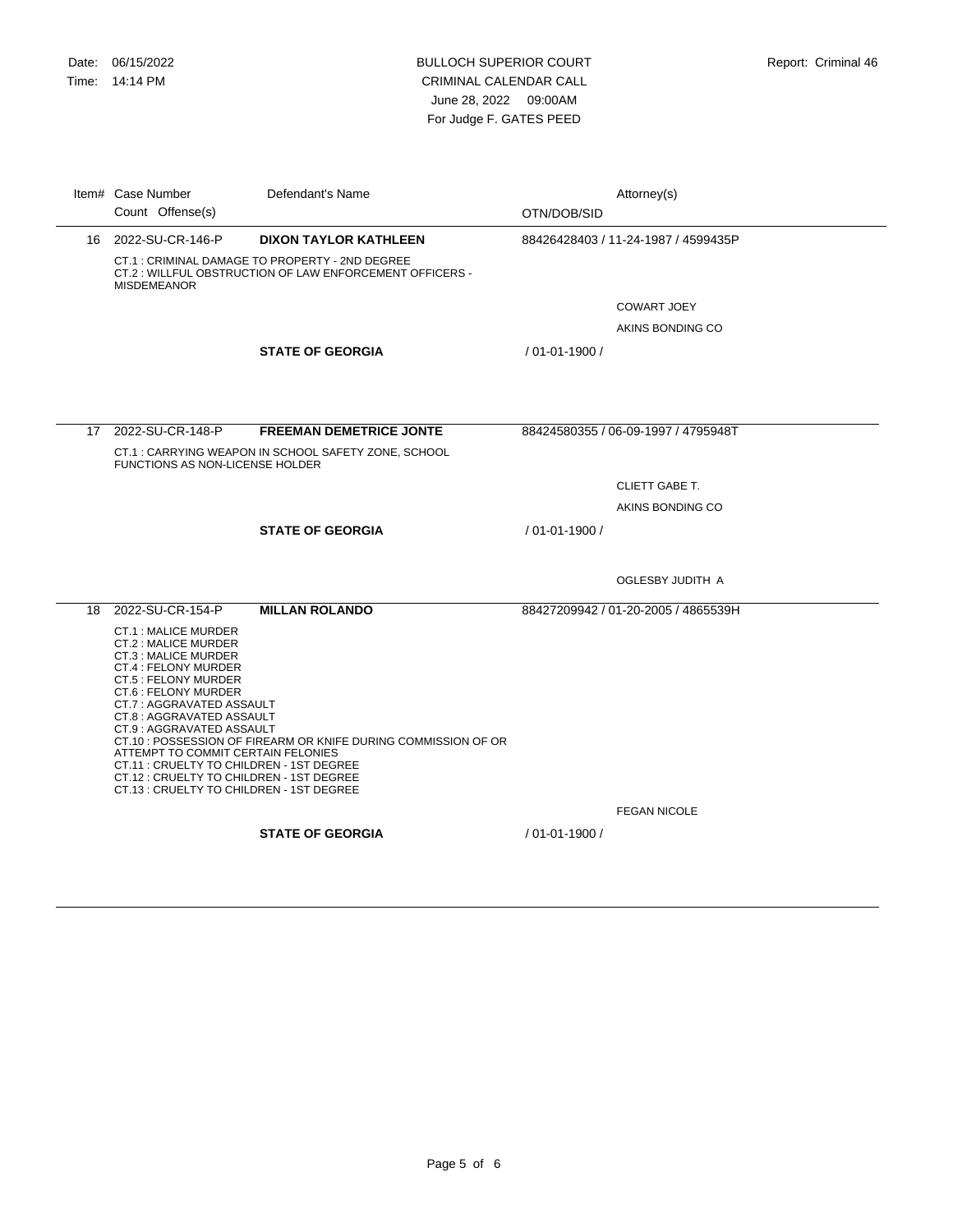|    | Item# Case Number<br>Count Offense(s)                                                                                                                                                                                                                                                                                                                                                                             | Defendant's Name                                                                                          | OTN/DOB/SID    | Attorney(s)                         |
|----|-------------------------------------------------------------------------------------------------------------------------------------------------------------------------------------------------------------------------------------------------------------------------------------------------------------------------------------------------------------------------------------------------------------------|-----------------------------------------------------------------------------------------------------------|----------------|-------------------------------------|
|    | 16 2022-SU-CR-146-P                                                                                                                                                                                                                                                                                                                                                                                               | <b>DIXON TAYLOR KATHLEEN</b>                                                                              |                | 88426428403 / 11-24-1987 / 4599435P |
|    | <b>MISDEMEANOR</b>                                                                                                                                                                                                                                                                                                                                                                                                | CT.1: CRIMINAL DAMAGE TO PROPERTY - 2ND DEGREE<br>CT.2: WILLFUL OBSTRUCTION OF LAW ENFORCEMENT OFFICERS - |                |                                     |
|    |                                                                                                                                                                                                                                                                                                                                                                                                                   |                                                                                                           |                | <b>COWART JOEY</b>                  |
|    |                                                                                                                                                                                                                                                                                                                                                                                                                   |                                                                                                           |                | AKINS BONDING CO                    |
|    |                                                                                                                                                                                                                                                                                                                                                                                                                   | <b>STATE OF GEORGIA</b>                                                                                   | / 01-01-1900 / |                                     |
|    |                                                                                                                                                                                                                                                                                                                                                                                                                   |                                                                                                           |                |                                     |
| 17 | 2022-SU-CR-148-P                                                                                                                                                                                                                                                                                                                                                                                                  | <b>FREEMAN DEMETRICE JONTE</b>                                                                            |                | 88424580355 / 06-09-1997 / 4795948T |
|    | <b>FUNCTIONS AS NON-LICENSE HOLDER</b>                                                                                                                                                                                                                                                                                                                                                                            | CT.1: CARRYING WEAPON IN SCHOOL SAFETY ZONE, SCHOOL                                                       |                |                                     |
|    |                                                                                                                                                                                                                                                                                                                                                                                                                   |                                                                                                           |                | <b>CLIETT GABE T.</b>               |
|    |                                                                                                                                                                                                                                                                                                                                                                                                                   |                                                                                                           |                | AKINS BONDING CO                    |
|    |                                                                                                                                                                                                                                                                                                                                                                                                                   | <b>STATE OF GEORGIA</b>                                                                                   | / 01-01-1900 / |                                     |
|    |                                                                                                                                                                                                                                                                                                                                                                                                                   |                                                                                                           |                |                                     |
|    |                                                                                                                                                                                                                                                                                                                                                                                                                   |                                                                                                           |                | OGLESBY JUDITH A                    |
| 18 | 2022-SU-CR-154-P                                                                                                                                                                                                                                                                                                                                                                                                  | <b>MILLAN ROLANDO</b>                                                                                     |                | 88427209942 / 01-20-2005 / 4865539H |
|    | CT.1 : MALICE MURDER<br>CT.2 : MALICE MURDER<br><b>CT.3: MALICE MURDER</b><br>CT.4 : FELONY MURDER<br>CT.5 : FELONY MURDER<br>CT.6 : FELONY MURDER<br>CT.7: AGGRAVATED ASSAULT<br>CT.8 : AGGRAVATED ASSAULT<br>CT.9: AGGRAVATED ASSAULT<br>ATTEMPT TO COMMIT CERTAIN FELONIES<br>CT.11 : CRUELTY TO CHILDREN - 1ST DEGREE<br>CT.12 : CRUELTY TO CHILDREN - 1ST DEGREE<br>CT.13 : CRUELTY TO CHILDREN - 1ST DEGREE | CT.10 : POSSESSION OF FIREARM OR KNIFE DURING COMMISSION OF OR                                            |                |                                     |
|    |                                                                                                                                                                                                                                                                                                                                                                                                                   |                                                                                                           |                | <b>FEGAN NICOLE</b>                 |
|    |                                                                                                                                                                                                                                                                                                                                                                                                                   | <b>STATE OF GEORGIA</b>                                                                                   | / 01-01-1900 / |                                     |